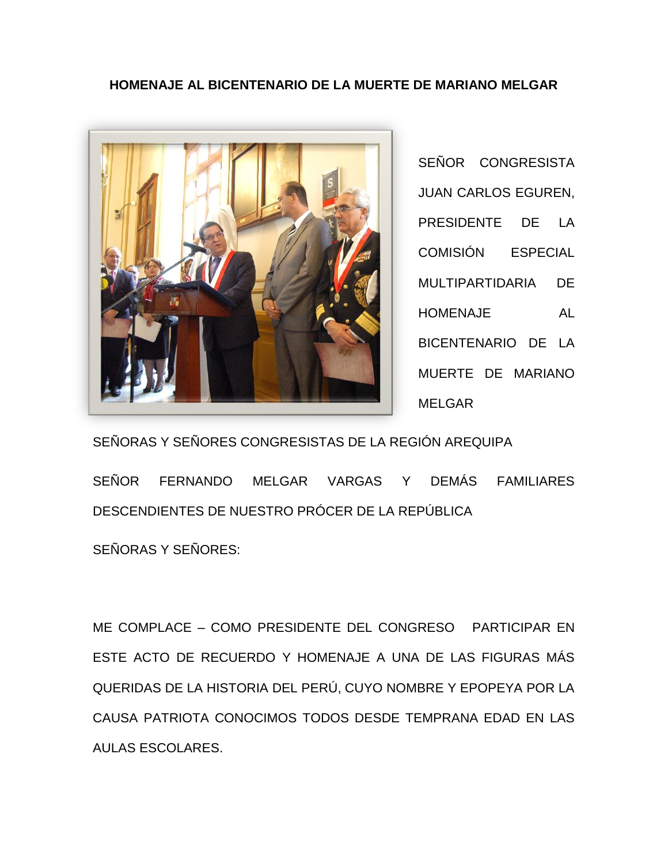## **HOMENAJE AL BICENTENARIO DE LA MUERTE DE MARIANO MELGAR**



SEÑOR CONGRESISTA JUAN CARLOS EGUREN, PRESIDENTE DE LA COMISIÓN ESPECIAL MULTIPARTIDARIA DE HOMENAJE AL BICENTENARIO DE LA MUERTE DE MARIANO MELGAR

SEÑORAS Y SEÑORES CONGRESISTAS DE LA REGIÓN AREQUIPA

SEÑOR FERNANDO MELGAR VARGAS Y DEMÁS FAMILIARES DESCENDIENTES DE NUESTRO PRÓCER DE LA REPÚBLICA

SEÑORAS Y SEÑORES:

ME COMPLACE – COMO PRESIDENTE DEL CONGRESO PARTICIPAR EN ESTE ACTO DE RECUERDO Y HOMENAJE A UNA DE LAS FIGURAS MÁS QUERIDAS DE LA HISTORIA DEL PERÚ, CUYO NOMBRE Y EPOPEYA POR LA CAUSA PATRIOTA CONOCIMOS TODOS DESDE TEMPRANA EDAD EN LAS AULAS ESCOLARES.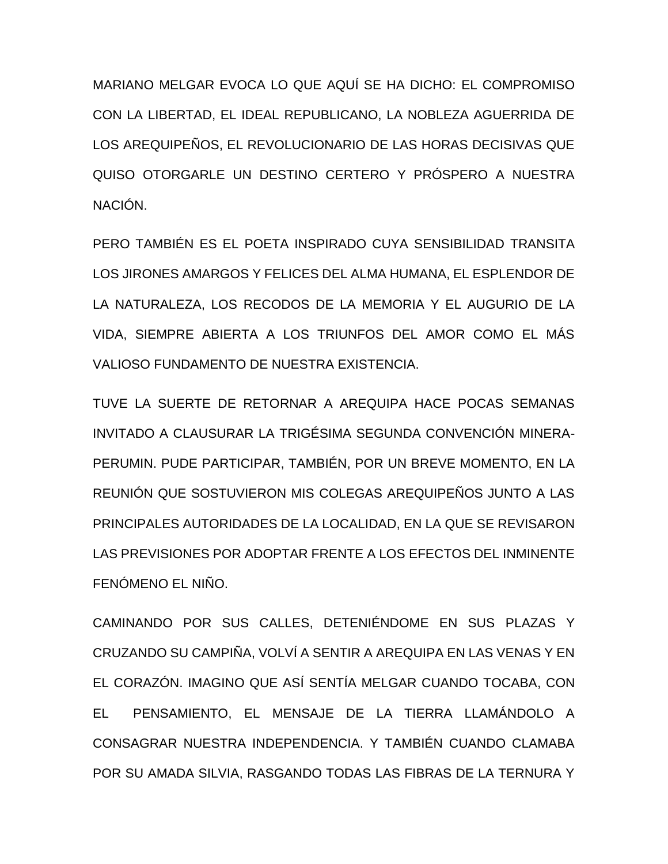MARIANO MELGAR EVOCA LO QUE AQUÍ SE HA DICHO: EL COMPROMISO CON LA LIBERTAD, EL IDEAL REPUBLICANO, LA NOBLEZA AGUERRIDA DE LOS AREQUIPEÑOS, EL REVOLUCIONARIO DE LAS HORAS DECISIVAS QUE QUISO OTORGARLE UN DESTINO CERTERO Y PRÓSPERO A NUESTRA NACIÓN.

PERO TAMBIÉN ES EL POETA INSPIRADO CUYA SENSIBILIDAD TRANSITA LOS JIRONES AMARGOS Y FELICES DEL ALMA HUMANA, EL ESPLENDOR DE LA NATURALEZA, LOS RECODOS DE LA MEMORIA Y EL AUGURIO DE LA VIDA, SIEMPRE ABIERTA A LOS TRIUNFOS DEL AMOR COMO EL MÁS VALIOSO FUNDAMENTO DE NUESTRA EXISTENCIA.

TUVE LA SUERTE DE RETORNAR A AREQUIPA HACE POCAS SEMANAS INVITADO A CLAUSURAR LA TRIGÉSIMA SEGUNDA CONVENCIÓN MINERA-PERUMIN. PUDE PARTICIPAR, TAMBIÉN, POR UN BREVE MOMENTO, EN LA REUNIÓN QUE SOSTUVIERON MIS COLEGAS AREQUIPEÑOS JUNTO A LAS PRINCIPALES AUTORIDADES DE LA LOCALIDAD, EN LA QUE SE REVISARON LAS PREVISIONES POR ADOPTAR FRENTE A LOS EFECTOS DEL INMINENTE FENÓMENO EL NIÑO.

CAMINANDO POR SUS CALLES, DETENIÉNDOME EN SUS PLAZAS Y CRUZANDO SU CAMPIÑA, VOLVÍ A SENTIR A AREQUIPA EN LAS VENAS Y EN EL CORAZÓN. IMAGINO QUE ASÍ SENTÍA MELGAR CUANDO TOCABA, CON EL PENSAMIENTO, EL MENSAJE DE LA TIERRA LLAMÁNDOLO A CONSAGRAR NUESTRA INDEPENDENCIA. Y TAMBIÉN CUANDO CLAMABA POR SU AMADA SILVIA, RASGANDO TODAS LAS FIBRAS DE LA TERNURA Y